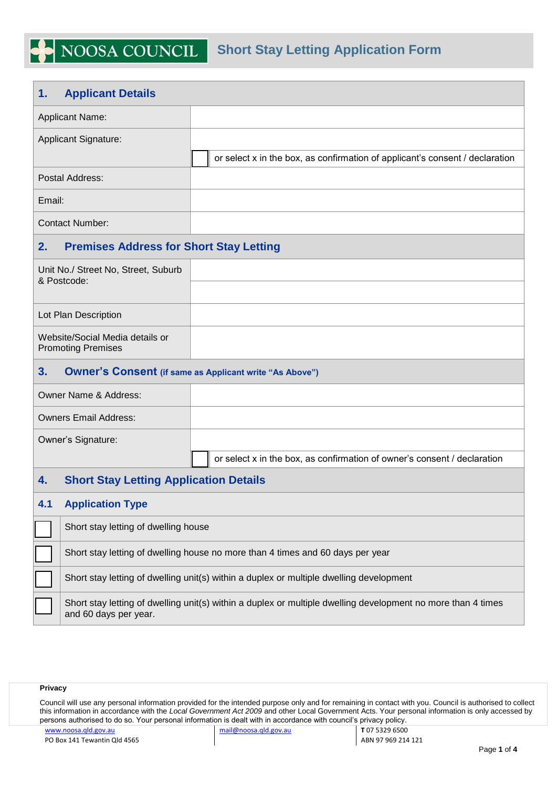## **1. Applicant Details**

NOOSA COUNCIL

 $\blacktriangleright$ 

| <b>Applicant Name:</b>                                       |                                                |                                                                                         |  |  |  |  |
|--------------------------------------------------------------|------------------------------------------------|-----------------------------------------------------------------------------------------|--|--|--|--|
| <b>Applicant Signature:</b>                                  |                                                |                                                                                         |  |  |  |  |
|                                                              |                                                | or select x in the box, as confirmation of applicant's consent / declaration            |  |  |  |  |
|                                                              | Postal Address:                                |                                                                                         |  |  |  |  |
| Email:                                                       |                                                |                                                                                         |  |  |  |  |
| <b>Contact Number:</b>                                       |                                                |                                                                                         |  |  |  |  |
| 2.                                                           | <b>Premises Address for Short Stay Letting</b> |                                                                                         |  |  |  |  |
| Unit No./ Street No, Street, Suburb<br>& Postcode:           |                                                |                                                                                         |  |  |  |  |
|                                                              |                                                |                                                                                         |  |  |  |  |
| Lot Plan Description                                         |                                                |                                                                                         |  |  |  |  |
| Website/Social Media details or<br><b>Promoting Premises</b> |                                                |                                                                                         |  |  |  |  |
|                                                              |                                                |                                                                                         |  |  |  |  |
| 3.                                                           |                                                | <b>Owner's Consent (if same as Applicant write "As Above")</b>                          |  |  |  |  |
|                                                              | Owner Name & Address:                          |                                                                                         |  |  |  |  |
|                                                              | <b>Owners Email Address:</b>                   |                                                                                         |  |  |  |  |
|                                                              | Owner's Signature:                             |                                                                                         |  |  |  |  |
|                                                              |                                                | or select x in the box, as confirmation of owner's consent / declaration                |  |  |  |  |
| 4.                                                           | <b>Short Stay Letting Application Details</b>  |                                                                                         |  |  |  |  |
| 4.1                                                          | <b>Application Type</b>                        |                                                                                         |  |  |  |  |
|                                                              | Short stay letting of dwelling house           |                                                                                         |  |  |  |  |
|                                                              |                                                | Short stay letting of dwelling house no more than 4 times and 60 days per year          |  |  |  |  |
|                                                              |                                                | Short stay letting of dwelling unit(s) within a duplex or multiple dwelling development |  |  |  |  |

## **Privacy**

Council will use any personal information provided for the intended purpose only and for remaining in contact with you. Council is authorised to collect this information in accordance with the *Local Government Act 2009* and other Local Government Acts. Your personal information is only accessed by persons authorised to do so. Your personal information is dealt with in accordance with council's privacy policy.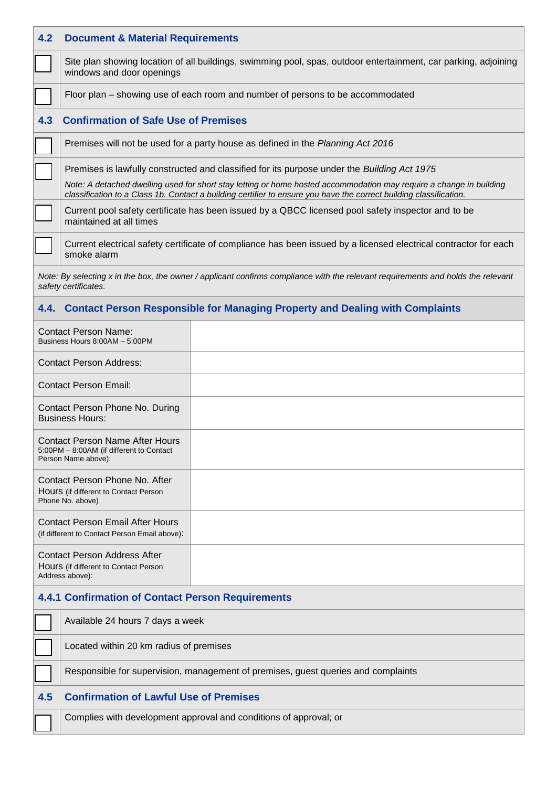| 4.2                                                                                             | <b>Document &amp; Material Requirements</b>                                                                                                                                                                                               |                                                                                   |  |  |  |  |
|-------------------------------------------------------------------------------------------------|-------------------------------------------------------------------------------------------------------------------------------------------------------------------------------------------------------------------------------------------|-----------------------------------------------------------------------------------|--|--|--|--|
|                                                                                                 | Site plan showing location of all buildings, swimming pool, spas, outdoor entertainment, car parking, adjoining<br>windows and door openings                                                                                              |                                                                                   |  |  |  |  |
|                                                                                                 | Floor plan – showing use of each room and number of persons to be accommodated                                                                                                                                                            |                                                                                   |  |  |  |  |
| 4.3                                                                                             | <b>Confirmation of Safe Use of Premises</b>                                                                                                                                                                                               |                                                                                   |  |  |  |  |
|                                                                                                 | Premises will not be used for a party house as defined in the Planning Act 2016                                                                                                                                                           |                                                                                   |  |  |  |  |
|                                                                                                 | Premises is lawfully constructed and classified for its purpose under the Building Act 1975                                                                                                                                               |                                                                                   |  |  |  |  |
|                                                                                                 | Note: A detached dwelling used for short stay letting or home hosted accommodation may require a change in building<br>classification to a Class 1b. Contact a building certifier to ensure you have the correct building classification. |                                                                                   |  |  |  |  |
|                                                                                                 | Current pool safety certificate has been issued by a QBCC licensed pool safety inspector and to be<br>maintained at all times                                                                                                             |                                                                                   |  |  |  |  |
|                                                                                                 | Current electrical safety certificate of compliance has been issued by a licensed electrical contractor for each<br>smoke alarm                                                                                                           |                                                                                   |  |  |  |  |
|                                                                                                 | Note: By selecting x in the box, the owner / applicant confirms compliance with the relevant requirements and holds the relevant<br>safety certificates.                                                                                  |                                                                                   |  |  |  |  |
|                                                                                                 |                                                                                                                                                                                                                                           | 4.4. Contact Person Responsible for Managing Property and Dealing with Complaints |  |  |  |  |
|                                                                                                 | <b>Contact Person Name:</b><br>Business Hours 8:00AM - 5:00PM                                                                                                                                                                             |                                                                                   |  |  |  |  |
|                                                                                                 | <b>Contact Person Address:</b>                                                                                                                                                                                                            |                                                                                   |  |  |  |  |
|                                                                                                 | <b>Contact Person Email:</b>                                                                                                                                                                                                              |                                                                                   |  |  |  |  |
|                                                                                                 | Contact Person Phone No. During<br><b>Business Hours:</b>                                                                                                                                                                                 |                                                                                   |  |  |  |  |
|                                                                                                 | <b>Contact Person Name After Hours</b><br>5:00PM - 8:00AM (if different to Contact<br>Person Name above):                                                                                                                                 |                                                                                   |  |  |  |  |
|                                                                                                 | Contact Person Phone No. After<br>Hours (if different to Contact Person<br>Phone No. above)                                                                                                                                               |                                                                                   |  |  |  |  |
|                                                                                                 | <b>Contact Person Email After Hours</b><br>(if different to Contact Person Email above):                                                                                                                                                  |                                                                                   |  |  |  |  |
| <b>Contact Person Address After</b><br>Hours (if different to Contact Person<br>Address above): |                                                                                                                                                                                                                                           |                                                                                   |  |  |  |  |
| <b>4.4.1 Confirmation of Contact Person Requirements</b>                                        |                                                                                                                                                                                                                                           |                                                                                   |  |  |  |  |
|                                                                                                 | Available 24 hours 7 days a week                                                                                                                                                                                                          |                                                                                   |  |  |  |  |
|                                                                                                 | Located within 20 km radius of premises                                                                                                                                                                                                   |                                                                                   |  |  |  |  |
|                                                                                                 | Responsible for supervision, management of premises, guest queries and complaints                                                                                                                                                         |                                                                                   |  |  |  |  |
| 4.5                                                                                             | <b>Confirmation of Lawful Use of Premises</b>                                                                                                                                                                                             |                                                                                   |  |  |  |  |
|                                                                                                 | Complies with development approval and conditions of approval; or                                                                                                                                                                         |                                                                                   |  |  |  |  |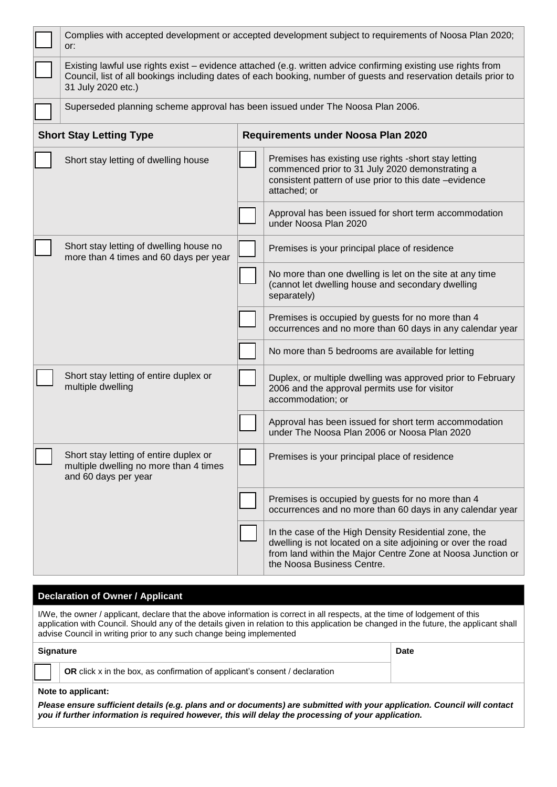| Complies with accepted development or accepted development subject to requirements of Noosa Plan 2020;<br>or:                                                                                                                                           |  |                                                                                                                                                                                                                    |  |  |  |  |
|---------------------------------------------------------------------------------------------------------------------------------------------------------------------------------------------------------------------------------------------------------|--|--------------------------------------------------------------------------------------------------------------------------------------------------------------------------------------------------------------------|--|--|--|--|
| Existing lawful use rights exist - evidence attached (e.g. written advice confirming existing use rights from<br>Council, list of all bookings including dates of each booking, number of guests and reservation details prior to<br>31 July 2020 etc.) |  |                                                                                                                                                                                                                    |  |  |  |  |
| Superseded planning scheme approval has been issued under The Noosa Plan 2006.                                                                                                                                                                          |  |                                                                                                                                                                                                                    |  |  |  |  |
| <b>Short Stay Letting Type</b>                                                                                                                                                                                                                          |  | Requirements under Noosa Plan 2020                                                                                                                                                                                 |  |  |  |  |
| Short stay letting of dwelling house                                                                                                                                                                                                                    |  | Premises has existing use rights -short stay letting<br>commenced prior to 31 July 2020 demonstrating a<br>consistent pattern of use prior to this date -evidence<br>attached; or                                  |  |  |  |  |
|                                                                                                                                                                                                                                                         |  | Approval has been issued for short term accommodation<br>under Noosa Plan 2020                                                                                                                                     |  |  |  |  |
| Short stay letting of dwelling house no<br>more than 4 times and 60 days per year                                                                                                                                                                       |  | Premises is your principal place of residence                                                                                                                                                                      |  |  |  |  |
|                                                                                                                                                                                                                                                         |  | No more than one dwelling is let on the site at any time<br>(cannot let dwelling house and secondary dwelling<br>separately)                                                                                       |  |  |  |  |
|                                                                                                                                                                                                                                                         |  | Premises is occupied by guests for no more than 4<br>occurrences and no more than 60 days in any calendar year                                                                                                     |  |  |  |  |
|                                                                                                                                                                                                                                                         |  | No more than 5 bedrooms are available for letting                                                                                                                                                                  |  |  |  |  |
| Short stay letting of entire duplex or<br>multiple dwelling                                                                                                                                                                                             |  | Duplex, or multiple dwelling was approved prior to February<br>2006 and the approval permits use for visitor<br>accommodation; or                                                                                  |  |  |  |  |
|                                                                                                                                                                                                                                                         |  | Approval has been issued for short term accommodation<br>under The Noosa Plan 2006 or Noosa Plan 2020                                                                                                              |  |  |  |  |
| Short stay letting of entire duplex or<br>multiple dwelling no more than 4 times<br>and 60 days per year                                                                                                                                                |  | Premises is your principal place of residence                                                                                                                                                                      |  |  |  |  |
|                                                                                                                                                                                                                                                         |  | Premises is occupied by guests for no more than 4<br>occurrences and no more than 60 days in any calendar year                                                                                                     |  |  |  |  |
|                                                                                                                                                                                                                                                         |  | In the case of the High Density Residential zone, the<br>dwelling is not located on a site adjoining or over the road<br>from land within the Major Centre Zone at Noosa Junction or<br>the Noosa Business Centre. |  |  |  |  |

## **Declaration of Owner / Applicant**

I/We, the owner / applicant, declare that the above information is correct in all respects, at the time of lodgement of this application with Council. Should any of the details given in relation to this application be changed in the future, the applicant shall advise Council in writing prior to any such change being implemented

| Signature |                                                                             | <b>Date</b> |
|-----------|-----------------------------------------------------------------------------|-------------|
|           | OR click x in the box, as confirmation of applicant's consent / declaration |             |

## **Note to applicant:**

*Please ensure sufficient details (e.g. plans and or documents) are submitted with your application. Council will contact you if further information is required however, this will delay the processing of your application.*